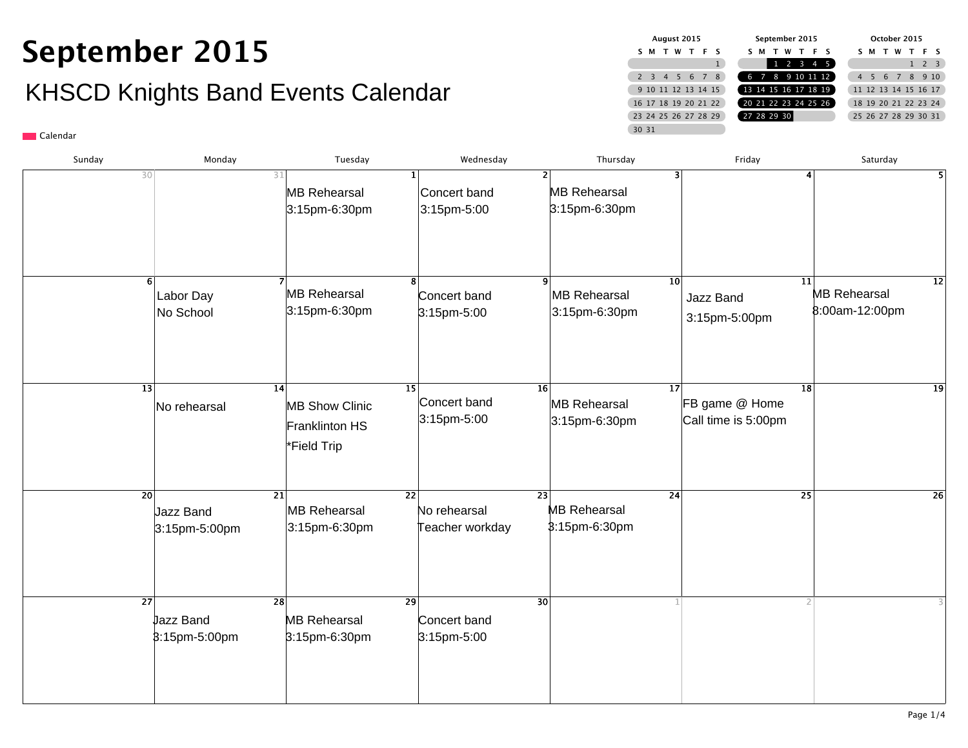## **September 2015** KHSCD Knights Band Events Calendar

| August 2015 |                      |  |  |           |     |
|-------------|----------------------|--|--|-----------|-----|
|             | м                    |  |  | T W T F S |     |
|             |                      |  |  |           |     |
|             | 2 3 4 5 6 7          |  |  |           | - 8 |
|             | 9 10 11 12 13 14 15  |  |  |           |     |
|             | 16 17 18 19 20 21 22 |  |  |           |     |
|             | 23 24 25 26 27 28 29 |  |  |           |     |
|             | 30 31                |  |  |           |     |

| Sunday | Monday                                        | Tuesday                                                      | Wednesday                                          | Thursday                                                 | Friday                                                   | Saturday                                            |
|--------|-----------------------------------------------|--------------------------------------------------------------|----------------------------------------------------|----------------------------------------------------------|----------------------------------------------------------|-----------------------------------------------------|
|        | 30                                            | 31<br><b>MB Rehearsal</b><br>3:15pm-6:30pm                   | Concert band<br>3:15pm-5:00                        | $\overline{2}$<br><b>MB Rehearsal</b><br>3:15pm-6:30pm   | 3                                                        | 5                                                   |
|        | Labor Day<br>No School                        | <b>MB Rehearsal</b><br>3:15pm-6:30pm                         | Concert band<br>3:15pm-5:00                        | MB Rehearsal<br>3:15pm-6:30pm                            | $\overline{10}$<br>Jazz Band<br>3:15pm-5:00pm            | 11<br> 12 <br><b>MB Rehearsal</b><br>8:00am-12:00pm |
|        | 13 <br>No rehearsal                           | 14<br><b>MB Show Clinic</b><br>Franklinton HS<br>*Field Trip | 15<br>Concert band<br>3:15pm-5:00                  | 16 <sup>1</sup><br>MB Rehearsal<br>3:15pm-6:30pm         | $\overline{17}$<br>FB game @ Home<br>Call time is 5:00pm | 18<br> 19                                           |
|        | $\overline{20}$<br>Jazz Band<br>3:15pm-5:00pm | $\overline{21}$<br><b>MB Rehearsal</b><br>3:15pm-6:30pm      | $\overline{22}$<br>No rehearsal<br>Teacher workday | $\overline{23}$<br><b>MB Rehearsal</b><br>\$:15pm-6:30pm | $\overline{24}$                                          | $\overline{25}$<br>$\overline{26}$                  |
|        | $\overline{27}$<br>Jazz Band<br>3:15pm-5:00pm | $\overline{28}$<br><b>MB Rehearsal</b><br>3:15pm-6:30pm      | $\overline{29}$<br>Concert band<br>3:15pm-5:00     | $\overline{30}$                                          |                                                          |                                                     |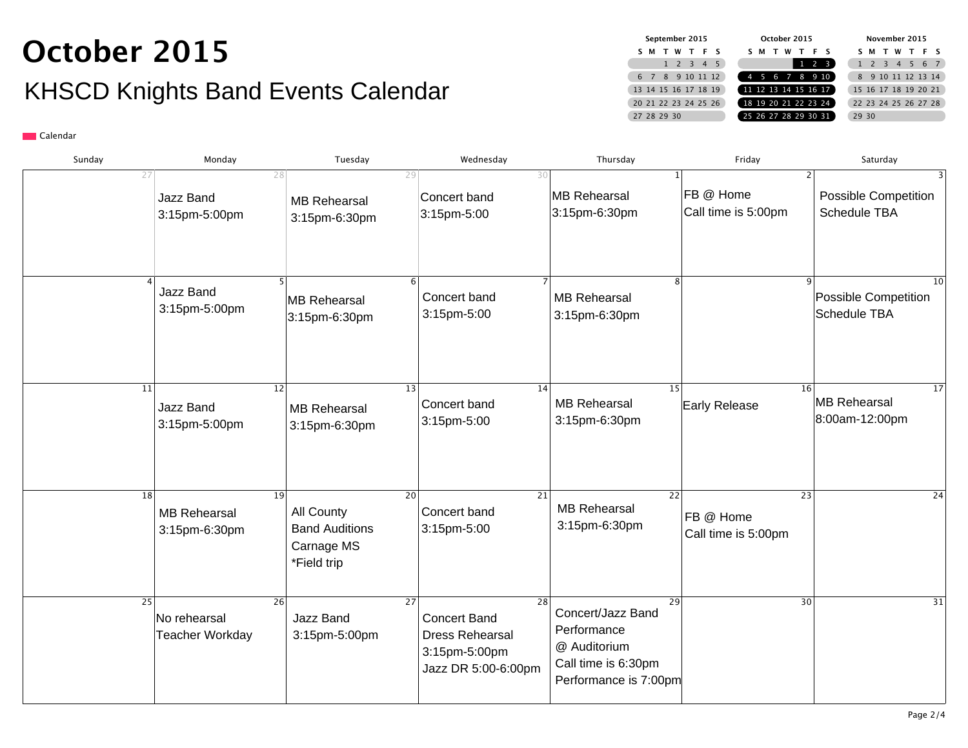## **October 2015** KHSCD Knights Band Events Calendar

| September 2015 |                      |     |  |         |                     |
|----------------|----------------------|-----|--|---------|---------------------|
|                | м                    | - т |  | W T F S |                     |
|                |                      |     |  |         | $1 \t2 \t3 \t4 \t5$ |
|                | 6 7 8 9 10 11 12     |     |  |         |                     |
|                | 13 14 15 16 17 18 19 |     |  |         |                     |
|                | 20 21 22 23 24 25 26 |     |  |         |                     |
|                | 27 28 29 30          |     |  |         |                     |

| Sunday | Monday                                                        | Tuesday                                                          | Wednesday                                                                                         | Thursday                                                                                               | Friday                                              | Saturday                                    |
|--------|---------------------------------------------------------------|------------------------------------------------------------------|---------------------------------------------------------------------------------------------------|--------------------------------------------------------------------------------------------------------|-----------------------------------------------------|---------------------------------------------|
|        | 27<br>28<br>Jazz Band<br>3:15pm-5:00pm                        | <b>MB Rehearsal</b><br>3:15pm-6:30pm                             | 29<br>30<br>Concert band<br>3:15pm-5:00                                                           | <b>MB Rehearsal</b><br>3:15pm-6:30pm                                                                   | FB @ Home<br>Call time is 5:00pm                    | <b>Possible Competition</b><br>Schedule TBA |
|        | Jazz Band<br>3:15pm-5:00pm                                    | 5 <sup>1</sup><br>MB Rehearsal<br>3:15pm-6:30pm                  | Concert band<br>3:15pm-5:00                                                                       | 8<br><b>MB Rehearsal</b><br>3:15pm-6:30pm                                                              |                                                     | 10<br>Possible Competition<br>Schedule TBA  |
|        | 12<br>11<br>Jazz Band<br>3:15pm-5:00pm                        | <b>MB Rehearsal</b><br>3:15pm-6:30pm                             | 13<br>14<br>Concert band<br>3:15pm-5:00                                                           | 15<br><b>MB Rehearsal</b><br>3:15pm-6:30pm                                                             | 16<br>Early Release                                 | 17<br>MB Rehearsal<br>8:00am-12:00pm        |
|        | $\overline{18}$<br>19<br><b>MB Rehearsal</b><br>3:15pm-6:30pm | All County<br><b>Band Auditions</b><br>Carnage MS<br>*Field trip | 21<br><b>20</b><br>Concert band<br>3:15pm-5:00                                                    | $\overline{22}$<br><b>MB Rehearsal</b><br>3:15pm-6:30pm                                                | $\overline{23}$<br>FB @ Home<br>Call time is 5:00pm | 24                                          |
|        | 25<br>26<br>No rehearsal<br><b>Teacher Workday</b>            | Jazz Band<br>3:15pm-5:00pm                                       | 27<br>28<br><b>Concert Band</b><br><b>Dress Rehearsal</b><br>3:15pm-5:00pm<br>Jazz DR 5:00-6:00pm | 29<br>Concert/Jazz Band<br>Performance<br>@ Auditorium<br>Call time is 6:30pm<br>Performance is 7:00pm | 30                                                  | 31                                          |
|        |                                                               |                                                                  |                                                                                                   |                                                                                                        |                                                     | Page $2/4$                                  |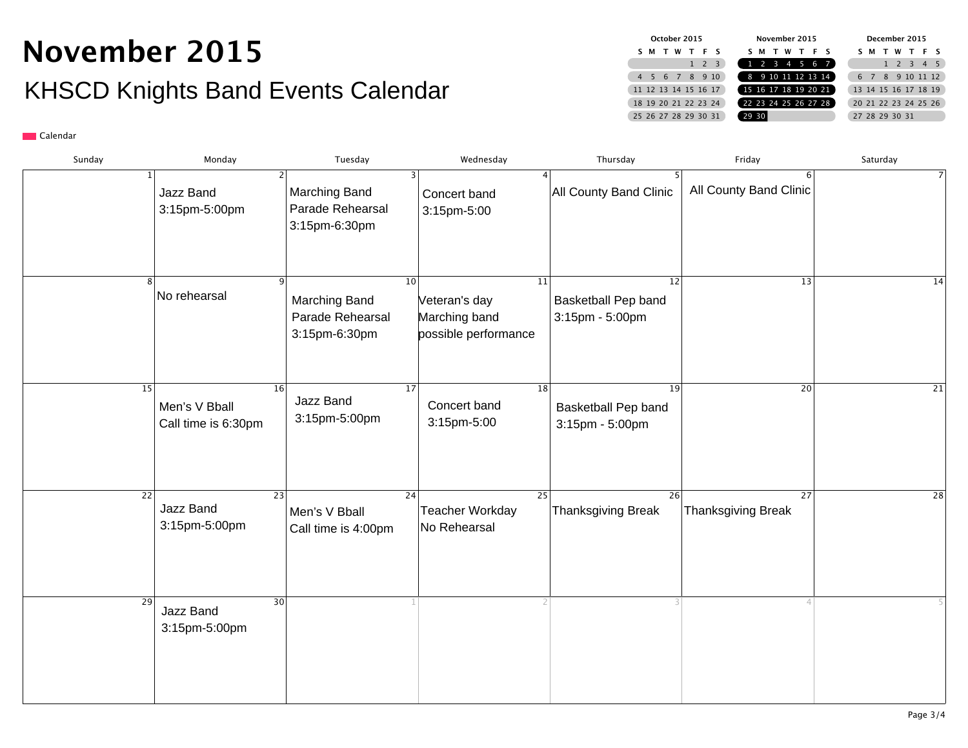## **November 2015** KHSCD Knights Band Events Calendar

| October 2015                        |                      |  |  |                          | November 2015       |  |       |  |  |  | December 2015 |                      |   |  |      |                      |              |  |                |                      |
|-------------------------------------|----------------------|--|--|--------------------------|---------------------|--|-------|--|--|--|---------------|----------------------|---|--|------|----------------------|--------------|--|----------------|----------------------|
| W<br>TFS<br>ς.<br>м<br>$\mathbf{r}$ |                      |  |  | W T F S<br>м<br>5.<br>T. |                     |  |       |  |  |  | м             |                      | W |  |      | TFS                  |              |  |                |                      |
|                                     |                      |  |  |                          | $1 \quad 2 \quad 3$ |  |       |  |  |  |               | 1 2 3 4 5 6 7        |   |  |      |                      | $1 \t2 \t3$  |  | $\overline{4}$ | - 5                  |
|                                     | 5 6 7 8 9 10         |  |  |                          |                     |  |       |  |  |  |               | 8 9 10 11 12 13 14   |   |  | $-7$ |                      | 8 9 10 11 12 |  |                |                      |
|                                     | 11 12 13 14 15 16 17 |  |  |                          |                     |  |       |  |  |  |               | 15 16 17 18 19 20 21 |   |  |      | 13 14 15 16 17 18 19 |              |  |                |                      |
|                                     | 18 19 20 21 22 23 24 |  |  |                          |                     |  |       |  |  |  |               | 22 23 24 25 26 27 28 |   |  |      |                      |              |  |                | 20 21 22 23 24 25 26 |
|                                     | 25 26 27 28 29 30 31 |  |  |                          |                     |  | 29 30 |  |  |  |               |                      |   |  |      | 27 28 29 30 31       |              |  |                |                      |

| Sunday | Monday                                                           | Tuesday                                                  | Wednesday                                                    | Thursday                                                  | Friday                                       | Saturday        |
|--------|------------------------------------------------------------------|----------------------------------------------------------|--------------------------------------------------------------|-----------------------------------------------------------|----------------------------------------------|-----------------|
|        | 1 <sup>1</sup><br>Jazz Band<br>3:15pm-5:00pm                     | Marching Band<br>Parade Rehearsal<br>3:15pm-6:30pm       | 4<br>Concert band<br>3:15pm-5:00                             | All County Band Clinic                                    | 6<br>All County Band Clinic                  | $\overline{7}$  |
|        | No rehearsal                                                     | 10<br>Marching Band<br>Parade Rehearsal<br>3:15pm-6:30pm | 11<br>Veteran's day<br>Marching band<br>possible performance | 12<br>Basketball Pep band<br>3:15pm - 5:00pm              | 13                                           | $\overline{14}$ |
|        | 15<br>16<br>Men's V Bball<br>Call time is 6:30pm                 | 17 <br>Jazz Band<br>3:15pm-5:00pm                        | 18 <br>Concert band<br>3:15pm-5:00                           | $\overline{19}$<br>Basketball Pep band<br>3:15pm - 5:00pm | 20                                           | $\overline{21}$ |
|        | $\overline{22}$<br>$\overline{23}$<br>Jazz Band<br>3:15pm-5:00pm | $\overline{24}$<br>Men's V Bball<br>Call time is 4:00pm  | $\overline{25}$<br><b>Teacher Workday</b><br>No Rehearsal    | $\overline{26}$<br><b>Thanksgiving Break</b>              | $\overline{27}$<br><b>Thanksgiving Break</b> | $\overline{28}$ |
|        | 30<br>29<br>Jazz Band<br>3:15pm-5:00pm                           |                                                          |                                                              |                                                           |                                              |                 |